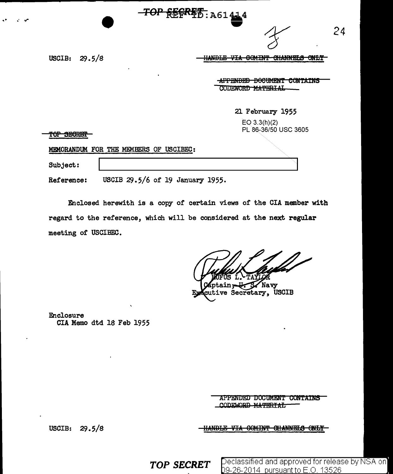| <b>REF<sup>ATD</sup>: A61414</b>                                                                             |
|--------------------------------------------------------------------------------------------------------------|
| 24                                                                                                           |
| IIANDID UTA<br><u>ooumm</u><br><u>miannine a</u><br><b>CLAINMAIN</b><br>᠊ᡂᠴ<br>UUTINI<br>mudia<br><b>TIA</b> |
| <del>DOCUMENT</del><br><del>APPENDED</del><br><b>UUNTAINS</b><br>CODEWORD MATERIAL                           |
| 21 February 1955                                                                                             |
| $EO$ 3.3(h)(2)<br>PL 86-36/50 USC 3605                                                                       |
|                                                                                                              |
| MEMORANDUM FOR THE MEMBERS OF USCIBEC:                                                                       |
|                                                                                                              |
|                                                                                                              |

An Amarman

USCIB 29.5/6 of 19 January 1955. Reference:

Enclosed herewith is a copy of certain views of the CIA member with regard to the reference, which will be considered at the next regular meeting of USCIBEC.

ptain, U.S. Navy<br>tive Secretary, USCIB

Enclosure CIA Memo dtd 18 Feb 1955

> APPENDED DOCUMENT CONTAINS CODEWORD MATERIAL

HANDLE VIA COMINT CHANNELS ONLY

USCIB: 29.5/8

**TOP SECRET** 

Declassified and approved for release by NSA on 09-26-2014 pursuant to E.O. 13526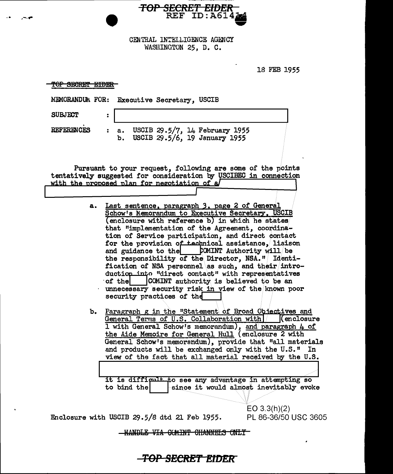**TOP SECRET EIDER**<br>REF ID:A614

CENTRAL INTELLIGENCE AGENCY<br>WASHINGTON 25, D. C.

 $\sim$   $\bullet$ 

 $\ddot{\phantom{a}}$ 

میں ہے

18 FEB 1955

 $\ddot{\phantom{a}}$ 

| <del>TOP SECRET EIDER</del>                                                                                                                                                                                                                                                                                                                                                                                                                                                                                                                                                                                                                                                                                                                                                                                                                                                                                                                                                                                                                                                                                     |  |  |  |  |  |
|-----------------------------------------------------------------------------------------------------------------------------------------------------------------------------------------------------------------------------------------------------------------------------------------------------------------------------------------------------------------------------------------------------------------------------------------------------------------------------------------------------------------------------------------------------------------------------------------------------------------------------------------------------------------------------------------------------------------------------------------------------------------------------------------------------------------------------------------------------------------------------------------------------------------------------------------------------------------------------------------------------------------------------------------------------------------------------------------------------------------|--|--|--|--|--|
| MEMORANDUM FOR:<br><b>Executive Secretary, USCIB</b>                                                                                                                                                                                                                                                                                                                                                                                                                                                                                                                                                                                                                                                                                                                                                                                                                                                                                                                                                                                                                                                            |  |  |  |  |  |
| <b>SUBJECT</b><br>$\ddot{\phantom{a}}$                                                                                                                                                                                                                                                                                                                                                                                                                                                                                                                                                                                                                                                                                                                                                                                                                                                                                                                                                                                                                                                                          |  |  |  |  |  |
| <b>REFERENCES</b><br>USCIB 29.5/7, 14 February 1955<br>$\ddot{\cdot}$<br>a.<br>USCIB 29.5/6, 19 January 1955<br>b.                                                                                                                                                                                                                                                                                                                                                                                                                                                                                                                                                                                                                                                                                                                                                                                                                                                                                                                                                                                              |  |  |  |  |  |
| Pursuant to your request, following are some of the points<br>tentatively suggested for consideration by USCIBEC in connection<br>with the proposed plan for negotiation of a                                                                                                                                                                                                                                                                                                                                                                                                                                                                                                                                                                                                                                                                                                                                                                                                                                                                                                                                   |  |  |  |  |  |
| Last sentence, paragraph 3, page 2 of General<br>а.<br>Schow's Memorandum to Executive Secretary, USCIB<br>(enclosure with reference b) in which he states<br>that "implementation of the Agreement, coordina-<br>tion of Service participation, and direct contact<br>for the provision of technical assistance, liaison<br>and guidance to the COMINT Authority will be<br>the responsibility of the Director, NSA." Identi-<br>fication of NSA personnel as such, and their intro-<br>duction into "direct contact" with representatives<br>COMINT authority is believed to be an<br>of the<br>unnecessary security risk in view of the known poor<br>security practices of the<br>Paragraph g in the "Statement of Broad Objectives and<br>ъ.<br>General Terms of U.S. Collaboration with<br>(enclosure<br>I with General Schow's memorandum), and paragraph 4 of<br>the Aide Memoire for General Hull (enclosure 2 with<br>General Schow's memorandum), provide that "all materials<br>and products will be exchanged only with the U.S."<br>In<br>view of the fact that all material received by the U.S. |  |  |  |  |  |
| to see any advantage in attempting so<br>it is difficult<br>since it would almost inevitably evoke<br>to bind the<br>EO $3.3(h)(2)$                                                                                                                                                                                                                                                                                                                                                                                                                                                                                                                                                                                                                                                                                                                                                                                                                                                                                                                                                                             |  |  |  |  |  |
| Enclosure with USCIB 29.5/8 dtd 21 Feb 1955.<br>PL 86-36/50 USC 3605                                                                                                                                                                                                                                                                                                                                                                                                                                                                                                                                                                                                                                                                                                                                                                                                                                                                                                                                                                                                                                            |  |  |  |  |  |
| <del>VIA COMINT CHANNELS</del>                                                                                                                                                                                                                                                                                                                                                                                                                                                                                                                                                                                                                                                                                                                                                                                                                                                                                                                                                                                                                                                                                  |  |  |  |  |  |

-TOP SECRET EIDER